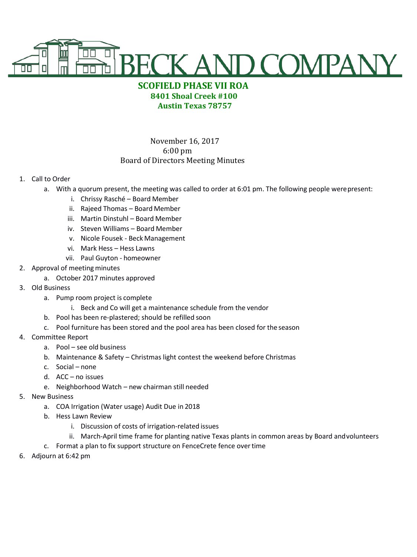

## **SCOFIELD PHASE VII ROA 8401 Shoal Creek #100 Austin Texas 78757**

## November 16, 2017 6:00 pm Board of Directors Meeting Minutes

## 1. Call to Order

- a. With a quorum present, the meeting was called to order at 6:01 pm. The following people werepresent:
	- i. Chrissy Rasché Board Member
	- ii. Rajeed Thomas Board Member
	- iii. Martin Dinstuhl Board Member
	- iv. Steven Williams Board Member
	- v. Nicole Fousek Beck Management
	- vi. Mark Hess Hess Lawns
	- vii. Paul Guyton homeowner
- 2. Approval of meeting minutes
	- a. October 2017 minutes approved
- 3. Old Business
	- a. Pump room project is complete
		- i. Beck and Co will get a maintenance schedule from the vendor
	- b. Pool has been re-plastered; should be refilled soon
	- c. Pool furniture has been stored and the pool area has been closed for the season
- 4. Committee Report
	- a. Pool see old business
	- b. Maintenance & Safety Christmas light contest the weekend before Christmas
	- c. Social none
	- d. ACC no issues
	- e. Neighborhood Watch new chairman still needed
- 5. New Business
	- a. COA Irrigation (Water usage) Audit Due in 2018
	- b. Hess Lawn Review
		- i. Discussion of costs of irrigation-related issues
		- ii. March-April time frame for planting native Texas plants in common areas by Board andvolunteers
	- c. Format a plan to fix support structure on FenceCrete fence overtime
- 6. Adjourn at 6:42 pm